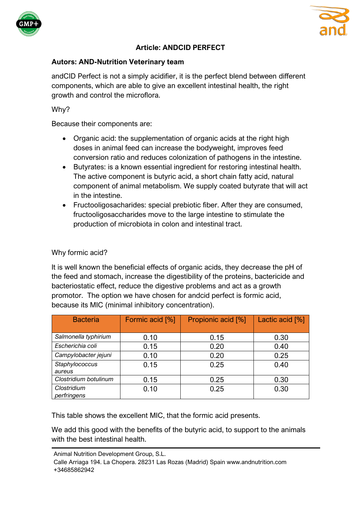



## **Article: ANDCID PERFECT**

## **Autors: AND-Nutrition Veterinary team**

andCID Perfect is not a simply acidifier, it is the perfect blend between different components, which are able to give an excellent intestinal health, the right growth and control the microflora.

Why?

Because their components are:

- Organic acid: the supplementation of organic acids at the right high doses in animal feed can increase the bodyweight, improves feed conversion ratio and reduces colonization of pathogens in the intestine.
- Butyrates: is a known essential ingredient for restoring intestinal health. The active component is butyric acid, a short chain fatty acid, natural component of animal metabolism. We supply coated butyrate that will act in the intestine.
- Fructooligosacharides: special prebiotic fiber. After they are consumed, fructooligosaccharides move to the large intestine to stimulate the production of microbiota in colon and intestinal tract.

## Why formic acid?

It is well known the beneficial effects of organic acids, they decrease the pH of the feed and stomach, increase the digestibility of the proteins, bactericide and bacteriostatic effect, reduce the digestive problems and act as a growth promotor. The option we have chosen for andcid perfect is formic acid, because its MIC (minimal inhibitory concentration).

| <b>Bacteria</b>       | Formic acid [%] | Propionic acid [%] | Lactic acid [%] |
|-----------------------|-----------------|--------------------|-----------------|
|                       |                 |                    |                 |
| Salmonella typhirium  | 0.10            | 0.15               | 0.30            |
| Escherichia coli      | 0.15            | 0.20               | 0.40            |
| Campylobacter jejuni  | 0.10            | 0.20               | 0.25            |
| Staphylococcus        | 0.15            | 0.25               | 0.40            |
| aureus                |                 |                    |                 |
| Clostridium botulinum | 0.15            | 0.25               | 0.30            |
| Clostridium           | 0.10            | 0.25               | 0.30            |
| perfringens           |                 |                    |                 |

This table shows the excellent MIC, that the formic acid presents.

We add this good with the benefits of the butyric acid, to support to the animals with the best intestinal health.

Animal Nutrition Development Group, S.L.

Calle Arriaga 194. La Chopera. 28231 Las Rozas (Madrid) Spain [www.andnutrition.com](http://www.andnutrition.com/) +34685862942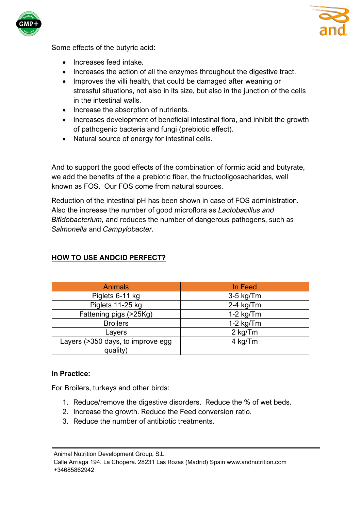



Some effects of the butyric acid:

- Increases feed intake.
- Increases the action of all the enzymes throughout the digestive tract.
- Improves the villi health, that could be damaged after weaning or stressful situations, not also in its size, but also in the junction of the cells in the intestinal walls.
- Increase the absorption of nutrients.
- Increases development of beneficial intestinal flora, and inhibit the growth of pathogenic bacteria and fungi (prebiotic effect).
- Natural source of energy for intestinal cells.

And to support the good effects of the combination of formic acid and butyrate, we add the benefits of the a prebiotic fiber, the fructooligosacharides, well known as FOS. Our FOS come from natural sources.

Reduction of the intestinal pH has been shown in case of FOS administration. Also the increase the number of good microflora as *Lactobacillus and Bifidobacterium,* and reduces the number of dangerous pathogens, such as *Salmonella* and *Campylobacter.*

# **HOW TO USE ANDCID PERFECT?**

| <b>Animals</b>                    | In Feed     |  |
|-----------------------------------|-------------|--|
| Piglets 6-11 kg                   | $3-5$ kg/Tm |  |
| Piglets 11-25 kg                  | $2-4$ kg/Tm |  |
| Fattening pigs (>25Kg)            | $1-2$ kg/Tm |  |
| <b>Broilers</b>                   | $1-2$ kg/Tm |  |
| Layers                            | 2 kg/Tm     |  |
| Layers (>350 days, to improve egg | 4 kg/Tm     |  |
| quality)                          |             |  |

## **In Practice:**

For Broilers, turkeys and other birds:

- 1. Reduce/remove the digestive disorders. Reduce the % of wet beds.
- 2. Increase the growth. Reduce the Feed conversion ratio.
- 3. Reduce the number of antibiotic treatments.

Animal Nutrition Development Group, S.L.

Calle Arriaga 194. La Chopera. 28231 Las Rozas (Madrid) Spain [www.andnutrition.com](http://www.andnutrition.com/) +34685862942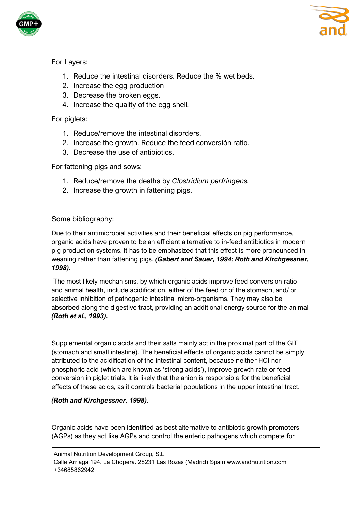



## For Layers:

- 1. Reduce the intestinal disorders. Reduce the % wet beds.
- 2. Increase the egg production
- 3. Decrease the broken eggs.
- 4. Increase the quality of the egg shell.

## For piglets:

- 1. Reduce/remove the intestinal disorders.
- 2. Increase the growth. Reduce the feed conversión ratio.
- 3. Decrease the use of antibiotics.

For fattening pigs and sows:

- 1. Reduce/remove the deaths by *Clostridium perfringens.*
- 2. Increase the growth in fattening pigs.

## Some bibliography:

Due to their antimicrobial activities and their beneficial effects on pig performance, organic acids have proven to be an efficient alternative to in-feed antibiotics in modern pig production systems. It has to be emphasized that this effect is more pronounced in weaning rather than fattening pigs. *(Gabert and Sauer, 1994; Roth and Kirchgessner, 1998).*

The most likely mechanisms, by which organic acids improve feed conversion ratio and animal health, include acidification, either of the feed or of the stomach, and/ or selective inhibition of pathogenic intestinal micro-organisms. They may also be absorbed along the digestive tract, providing an additional energy source for the animal *(Roth et al., 1993).*

Supplemental organic acids and their salts mainly act in the proximal part of the GIT (stomach and small intestine). The beneficial effects of organic acids cannot be simply attributed to the acidification of the intestinal content, because neither HCl nor phosphoric acid (which are known as 'strong acids'), improve growth rate or feed conversion in piglet trials. It is likely that the anion is responsible for the beneficial effects of these acids, as it controls bacterial populations in the upper intestinal tract.

## *(Roth and Kirchgessner, 1998).*

Organic acids have been identified as best alternative to antibiotic growth promoters (AGPs) as they act like AGPs and control the enteric pathogens which compete for

Animal Nutrition Development Group, S.L.

Calle Arriaga 194. La Chopera. 28231 Las Rozas (Madrid) Spain [www.andnutrition.com](http://www.andnutrition.com/) +34685862942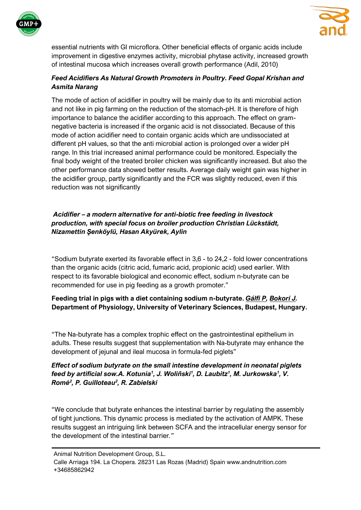



essential nutrients with GI microflora. Other beneficial effects of organic acids include improvement in digestive enzymes activity, microbial phytase activity, increased growth of intestinal mucosa which increases overall growth performance (Adil, 2010)

## *Feed Acidifiers As Natural Growth Promoters in Poultry. Feed Gopal Krishan and Asmita Narang*

The mode of action of acidifier in poultry will be mainly due to its anti microbial action and not like in pig farming on the reduction of the stomach-pH. It is therefore of high importance to balance the acidifier according to this approach. The effect on gramnegative bacteria is increased if the organic acid is not dissociated. Because of this mode of action acidifier need to contain organic acids which are undissociated at different pH values, so that the anti microbial action is prolonged over a wider pH range. In this trial increased animal performance could be monitored. Especially the final body weight of the treated broiler chicken was significantly increased. But also the other performance data showed better results. Average daily weight gain was higher in the acidifier group, partly significantly and the FCR was slightly reduced, even if this reduction was not significantly

## *Acidifier – a modern alternative for anti-biotic free feeding in livestock production, with special focus on broiler production Christian Lückstädt, Nizamettin Şenköylü, Hasan Akyürek, Aylin*

"Sodium butyrate exerted its favorable effect in 3,6 - to 24,2 - fold lower concentrations than the organic acids (citric acid, fumaric acid, propionic acid) used earlier. With respect to its favorable biological and economic effect, sodium n-butyrate can be recommended for use in pig feeding as a growth promoter."

## **Feeding trial in pigs with a diet containing sodium n-butyrate.** *[Gálfi P,](http://www.ncbi.nlm.nih.gov/pubmed?term=Gálfi%20P%5BAuthor%5D&cauthor=true&cauthor_uid=2100936) [Bokori J.](http://www.ncbi.nlm.nih.gov/pubmed?term=Bokori%20J%5BAuthor%5D&cauthor=true&cauthor_uid=2100936)* **Department of Physiology, University of Veterinary Sciences, Budapest, Hungary.**

"The Na-butyrate has a complex trophic effect on the gastrointestinal epithelium in adults. These results suggest that supplementation with Na-butyrate may enhance the development of jejunal and ileal mucosa in formula-fed piglets"

## *Effect of sodium butyrate on the small intestine development in neonatal piglets feed by artificial sow.A. Kotunia<sup>1</sup> , J. Woliñski<sup>1</sup> , D. Laubitz<sup>1</sup> , M. Jurkowska<sup>1</sup> , V. Romé<sup>2</sup> , P. Guilloteau<sup>2</sup> , R. Zabielski*

"We conclude that butyrate enhances the intestinal barrier by regulating the assembly of tight junctions. This dynamic process is mediated by the activation of AMPK. These results suggest an intriguing link between SCFA and the intracellular energy sensor for the development of the intestinal barrier*."*

- Animal Nutrition Development Group, S.L.
- Calle Arriaga 194. La Chopera. 28231 Las Rozas (Madrid) Spain [www.andnutrition.com](http://www.andnutrition.com/) +34685862942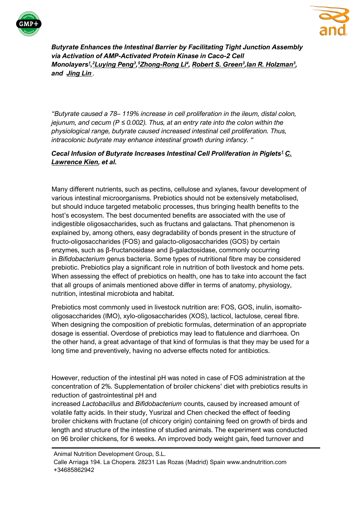



*Butyrate Enhances the Intestinal Barrier by Facilitating Tight Junction Assembly via Activation of AMP-Activated Protein Kinase in Caco-2 Cell Monolayers<sup>1</sup> [,](http://jn.nutrition.org/content/139/9/1619.short#fn-2) <sup>2</sup>[Luying Peng](http://jn.nutrition.org/search?author1=Luying+Peng&sortspec=date&submit=Submit)<sup>3</sup> [,](http://jn.nutrition.org/content/139/9/1619.short#target-3) <sup>5</sup>[Zhong-Rong Li](http://jn.nutrition.org/search?author1=Zhong-Rong+Li&sortspec=date&submit=Submit)<sup>4</sup> , [Robert S. Green](http://jn.nutrition.org/search?author1=Robert+S.+Green&sortspec=date&submit=Submit)<sup>3</sup> [,Ian R. Holzman](http://jn.nutrition.org/search?author1=Ian+R.+Holzman&sortspec=date&submit=Submit)<sup>3</sup> , and [Jing Lin](http://jn.nutrition.org/search?author1=Jing+Lin&sortspec=date&submit=Submit).* .

*"Butyrate caused a 78– 119% increase in cell proliferation in the ileum, distal colon, jejunum, and cecum (P ≤ 0.002). Thus, at an entry rate into the colon within the physiological range, butyrate caused increased intestinal cell proliferation. Thus, intracolonic butyrate may enhance intestinal growth during infancy. "*

## *Cecal Infusion of Butyrate Increases Intestinal Cell Proliferation in Piglets[1](http://jn.nutrition.org/content/137/4/916.short#fn-4) [C.](http://jn.nutrition.org/search?author1=C.+Lawrence+Kien&sortspec=date&submit=Submit)  [Lawrence Kien,](http://jn.nutrition.org/search?author1=C.+Lawrence+Kien&sortspec=date&submit=Submit) et al.*

Many different nutrients, such as pectins, cellulose and xylanes, favour development of various intestinal microorganisms. Prebiotics should not be extensively metabolised, but should induce targeted metabolic processes, thus bringing health benefits to the host's ecosystem. The best documented benefits are associated with the use of indigestible oligosaccharides, such as fructans and galactans. That phenomenon is explained by, among others, easy degradability of bonds present in the structure of fructo-oligosaccharides (FOS) and galacto-oligosaccharides (GOS) by certain enzymes, such as β-fructanosidase and β-galactosidase, commonly occurring in *Bifidobacterium* genus bacteria. Some types of nutritional fibre may be considered prebiotic. Prebiotics play a significant role in nutrition of both livestock and home pets. When assessing the effect of prebiotics on health, one has to take into account the fact that all groups of animals mentioned above differ in terms of anatomy, physiology, nutrition, intestinal microbiota and habitat.

Prebiotics most commonly used in livestock nutrition are: FOS, GOS, inulin, isomaltooligosaccharides (IMO), xylo-oligosaccharides (XOS), lacticol, lactulose, cereal fibre. When designing the composition of prebiotic formulas, determination of an appropriate dosage is essential. Overdose of prebiotics may lead to flatulence and diarrhoea. On the other hand, a great advantage of that kind of formulas is that they may be used for a long time and preventively, having no adverse effects noted for antibiotics.

However, reduction of the intestinal pH was noted in case of FOS administration at the concentration of 2%. Supplementation of broiler chickens' diet with prebiotics results in reduction of gastrointestinal pH and

increased *Lactobacillus* and *Bifidobacterium* counts, caused by increased amount of volatile fatty acids. In their study, Yusrizal and Chen checked the effect of feeding broiler chickens with fructane (of chicory origin) containing feed on growth of birds and length and structure of the intestine of studied animals. The experiment was conducted on 96 broiler chickens, for 6 weeks. An improved body weight gain, feed turnover and

Animal Nutrition Development Group, S.L.

Calle Arriaga 194. La Chopera. 28231 Las Rozas (Madrid) Spain [www.andnutrition.com](http://www.andnutrition.com/) +34685862942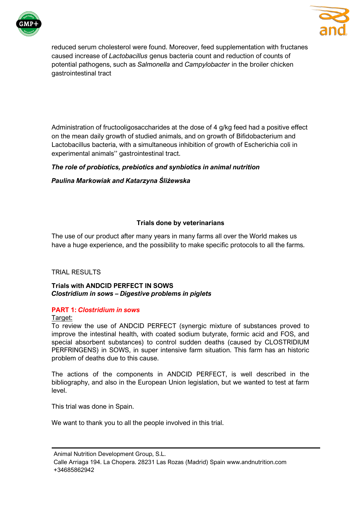



reduced serum cholesterol were found. Moreover, feed supplementation with fructanes caused increase of *Lactobacillus* genus bacteria count and reduction of counts of potential pathogens, such as *Salmonella* and *Campylobacter* in the broiler chicken gastrointestinal tract

Administration of fructooligosaccharides at the dose of 4 g/kg feed had a positive effect on the mean daily growth of studied animals, and on growth of Bifidobacterium and Lactobacillus bacteria, with a simultaneous inhibition of growth of Escherichia coli in experimental animals'' gastrointestinal tract.

### *The role of probiotics, prebiotics and synbiotics in animal nutrition*

*Paulina Markowiak and Katarzyna Śliżewska*

### **Trials done by veterinarians**

The use of our product after many years in many farms all over the World makes us have a huge experience, and the possibility to make specific protocols to all the farms.

TRIAL RESULTS

### **Trials with ANDCID PERFECT IN SOWS** *Clostridium in sows – Digestive problems in piglets*

### **PART 1:** *Clostridium in sows*

Target:

To review the use of ANDCID PERFECT (synergic mixture of substances proved to improve the intestinal health, with coated sodium butyrate, formic acid and FOS, and special absorbent substances) to control sudden deaths (caused by CLOSTRIDIUM PERFRINGENS) in SOWS, in super intensive farm situation. This farm has an historic problem of deaths due to this cause.

The actions of the components in ANDCID PERFECT, is well described in the bibliography, and also in the European Union legislation, but we wanted to test at farm level.

This trial was done in Spain.

We want to thank you to all the people involved in this trial.

Animal Nutrition Development Group, S.L.

Calle Arriaga 194. La Chopera. 28231 Las Rozas (Madrid) Spain [www.andnutrition.com](http://www.andnutrition.com/) +34685862942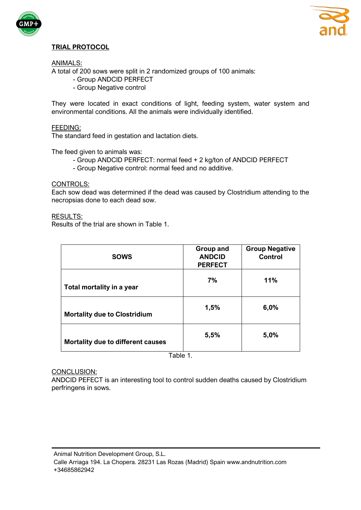



## **TRIAL PROTOCOL**

ANIMALS:

A total of 200 sows were split in 2 randomized groups of 100 animals:

- Group ANDCID PERFECT
- Group Negative control

They were located in exact conditions of light, feeding system, water system and environmental conditions. All the animals were individually identified.

### FEEDING:

The standard feed in gestation and lactation diets.

The feed given to animals was:

- Group ANDCID PERFECT: normal feed + 2 kg/ton of ANDCID PERFECT
- Group Negative control: normal feed and no additive.

CONTROLS:

Each sow dead was determined if the dead was caused by Clostridium attending to the necropsias done to each dead sow.

RESULTS:

Results of the trial are shown in Table 1.

| <b>SOWS</b>                              | Group and<br><b>ANDCID</b><br><b>PERFECT</b> | <b>Group Negative</b><br><b>Control</b> |
|------------------------------------------|----------------------------------------------|-----------------------------------------|
| Total mortality in a year                | 7%                                           | 11%                                     |
| <b>Mortality due to Clostridium</b>      | 1,5%                                         | 6,0%                                    |
| <b>Mortality due to different causes</b> | 5,5%                                         | 5,0%                                    |

Table 1.

#### CONCLUSION:

ANDCID PEFECT is an interesting tool to control sudden deaths caused by Clostridium perfringens in sows.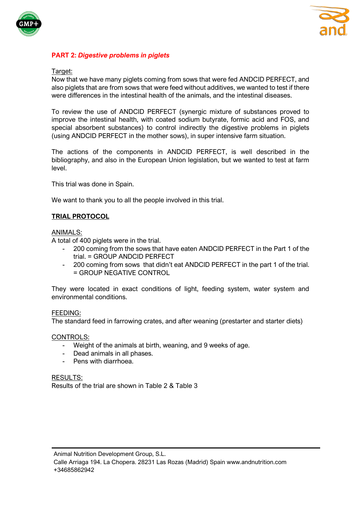



### **PART 2:** *Digestive problems in piglets*

#### Target:

Now that we have many piglets coming from sows that were fed ANDCID PERFECT, and also piglets that are from sows that were feed without additives, we wanted to test if there were differences in the intestinal health of the animals, and the intestinal diseases.

To review the use of ANDCID PERFECT (synergic mixture of substances proved to improve the intestinal health, with coated sodium butyrate, formic acid and FOS, and special absorbent substances) to control indirectly the digestive problems in piglets (using ANDCID PERFECT in the mother sows), in super intensive farm situation.

The actions of the components in ANDCID PERFECT, is well described in the bibliography, and also in the European Union legislation, but we wanted to test at farm level.

This trial was done in Spain.

We want to thank you to all the people involved in this trial.

## **TRIAL PROTOCOL**

### ANIMALS:

A total of 400 piglets were in the trial.

- 200 coming from the sows that have eaten ANDCID PERFECT in the Part 1 of the trial. = GROUP ANDCID PERFECT
- 200 coming from sows that didn't eat ANDCID PERFECT in the part 1 of the trial. = GROUP NEGATIVE CONTROL

They were located in exact conditions of light, feeding system, water system and environmental conditions.

#### FEEDING:

The standard feed in farrowing crates, and after weaning (prestarter and starter diets)

CONTROLS:

- Weight of the animals at birth, weaning, and 9 weeks of age.
- Dead animals in all phases.
- Pens with diarrhoea.

RESULTS: Results of the trial are shown in Table 2 & Table 3